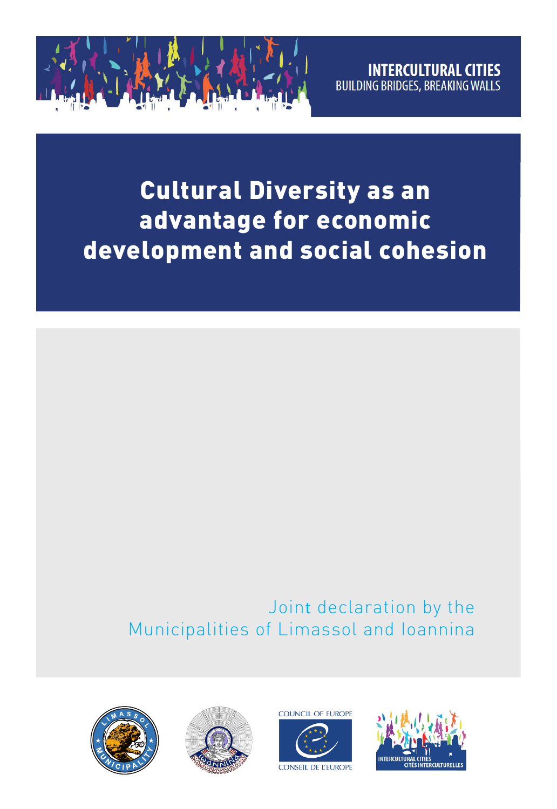

Cultural Diversity as an advantage for economic development and social cohesion

# Joint declaration by the Municipalities of Limassol and Ioannina







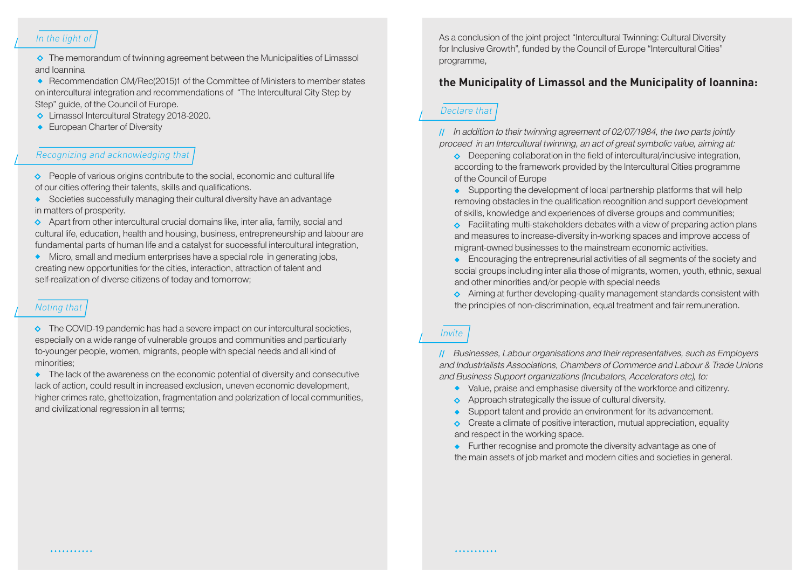## In the light of

 $\Diamond$  The memorandum of twinning agreement between the Municipalities of Limassol and Ioannina

 Recommendation CM/Rec(2015)1 of the Committee of Ministers to member states on intercultural integration and recommendations of "The Intercultural City Step by Step" guide, of the Council of Europe.

- ◆ Limassol Intercultural Strategy 2018-2020.
- European Charter of Diversity

#### Recognizing and acknowledging that

 $\Diamond$  People of various origins contribute to the social, economic and cultural life of our cities offering their talents, skills and qualifications.

 Societies successfully managing their cultural diversity have an advantage in matters of prosperity.

 $\Diamond$  Apart from other intercultural crucial domains like, inter alia, family, social and cultural life, education, health and housing, business, entrepreneurship and labour are fundamental parts of human life and a catalyst for successful intercultural integration,

 Micro, small and medium enterprises have a special role in generating jobs, creating new opportunities for the cities, interaction, attraction of talent and self-realization of diverse citizens of today and tomorrow;

#### Noting that

 $\Diamond$  The COVID-19 pandemic has had a severe impact on our intercultural societies, especially on a wide range of vulnerable groups and communities and particularly to-younger people, women, migrants, people with special needs and all kind of minorities;

• The lack of the awareness on the economic potential of diversity and consecutive lack of action, could result in increased exclusion, uneven economic development, higher crimes rate, ghettoization, fragmentation and polarization of local communities, and civilizational regression in all terms;

As a conclusion of the joint project "Intercultural Twinning: Cultural Diversity for Inclusive Growth", funded by the Council of Europe "Intercultural Cities" programme,

## **the Municipality of Limassol and the Municipality of Ioannina:**

#### Declare that

 In addition to their twinning agreement of 02/07/1984, the two parts jointly proceed in an Intercultural twinning, an act of great symbolic value, aiming at:

◆ Deepening collaboration in the field of intercultural/inclusive integration, according to the framework provided by the Intercultural Cities programme of the Council of Europe

Supporting the development of local partnership platforms that will help removing obstacles in the qualification recognition and support development of skills, knowledge and experiences of diverse groups and communities;

 $\bullet$  Facilitating multi-stakeholders debates with a view of preparing action plans and measures to increase-diversity in-working spaces and improve access of migrant-owned businesses to the mainstream economic activities.

**Encouraging the entrepreneurial activities of all segments of the society and** social groups including inter alia those of migrants, women, youth, ethnic, sexual and other minorities and/or people with special needs

Aiming at further developing-quality management standards consistent with the principles of non-discrimination, equal treatment and fair remuneration.

## Invite

 Businesses, Labour organisations and their representatives, such as Employers and Industrialists Associations, Chambers of Commerce and Labour & Trade Unions and Business Support organizations (Incubators, Accelerators etc), to:

- Value, praise and emphasise diversity of the workforce and citizenry.
- ◆ Approach strategically the issue of cultural diversity.
- Support talent and provide an environment for its advancement.

 $\Diamond$  Create a climate of positive interaction, mutual appreciation, equality and respect in the working space.

Further recognise and promote the diversity advantage as one of the main assets of job market and modern cities and societies in general.